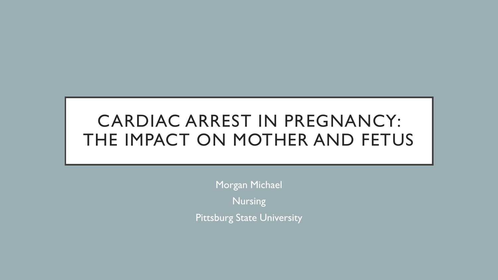# CARDIAC ARREST IN PREGNANCY: THE IMPACT ON MOTHER AND FETUS

Morgan Michael Nursing Pittsburg State University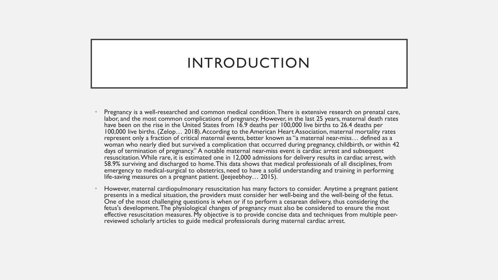## INTRODUCTION

- Pregnancy is a well-researched and common medical condition. There is extensive research on prenatal care, labor, and the most common complications of pregnancy. However, in the last 25 years, maternal death rates have been on the rise in the United States from 16.9 deaths per 100,000 live births to 26.4 deaths per 100,000 live births. (Zelop… 2018). According to the American Heart Association, maternal mortality rates represent only a fraction of critical maternal events, better known as "a maternal near-miss… defined as a woman who nearly died but survived a complication that occurred during pregnancy, childbirth, or within 42 days of termination of pregnancy." A notable maternal near-miss event is cardiac arrest and subsequent resuscitation. While rare, it is estimated one in 12,000 admissions for delivery results in cardiac arrest, with 58.9% surviving and discharged to home. This data shows that medical professionals of all disciplines, from emergency to medical-surgical to obstetrics, need to have a solid understanding and training in performing life-saving measures on a pregnant patient. (Jeejeebhoy… 2015).
- However, maternal cardiopulmonary resuscitation has many factors to consider. Anytime a pregnant patient presents in a medical situation, the providers must consider her well-being and the well-being of the fetus. One of the most challenging questions is when or if to perform a cesarean delivery, thus considering the fetus's development. The physiological changes of pregnancy must also be considered to ensure the most effective resuscitation measures. My objective is to provide concise data and techniques from multiple peer- reviewed scholarly articles to guide medical professionals during maternal cardiac arrest.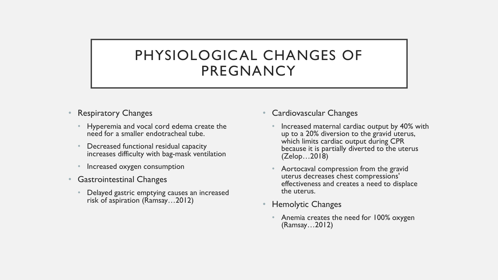## PHYSIOLOGICAL CHANGES OF PREGNANCY

- Respiratory Changes
	- Hyperemia and vocal cord edema create the need for a smaller endotracheal tube.
	- Decreased functional residual capacity increases difficulty with bag-mask ventilation
	- Increased oxygen consumption
- Gastrointestinal Changes
	- Delayed gastric emptying causes an increased risk of aspiration (Ramsay…2012)
- Cardiovascular Changes
	- Increased maternal cardiac output by 40% with up to a 20% diversion to the gravid uterus, which limits cardiac output during CPR because it is partially diverted to the uterus (Zelop…2018)
	- Aortocaval compression from the gravid uterus decreases chest compressions' effectiveness and creates a need to displace the uterus.
- Hemolytic Changes
	- Anemia creates the need for 100% oxygen (Ramsay…2012)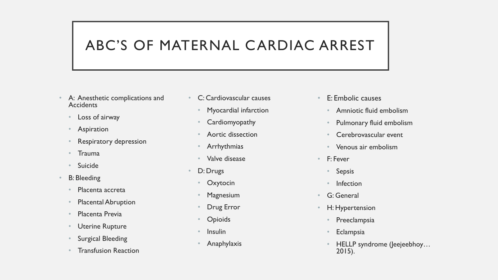## ABC'S OF MATERNAL CARDIAC ARREST

- A: Anesthetic complications and **Accidents** 
	- Loss of airway
	- **Aspiration**
	- Respiratory depression
	- Trauma
	- Suicide
- **B**: Bleeding
	- Placenta accreta
	- Placental Abruption
	- Placenta Previa
	- Uterine Rupture
	- Surgical Bleeding
	- Transfusion Reaction
- C: Cardiovascular causes
	- Myocardial infarction
	- **Cardiomyopathy**
	- Aortic dissection
	- **Arrhythmias**
	- Valve disease
- D: Drugs
	- **Oxytocin**
	- **Magnesium**
	- Drug Error
	- **Opioids**
	- **Insulin**
	- Anaphylaxis
- E: Embolic causes
	- Amniotic fluid embolism
	- Pulmonary fluid embolism
	- Cerebrovascular event
	- Venous air embolism
- F: Fever
	- Sepsis
	- Infection
- G: General
- H: Hypertension
	- Preeclampsia
	- **Eclampsia**
	- HELLP syndrome (Jeejeebhoy… 2015).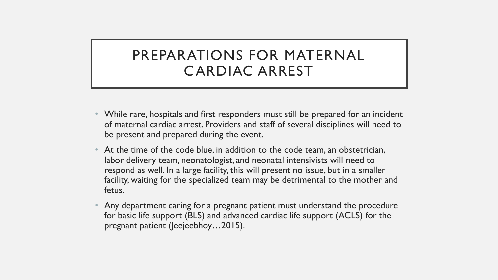## PREPARATIONS FOR MATERNAL CARDIAC ARREST

- While rare, hospitals and first responders must still be prepared for an incident of maternal cardiac arrest. Providers and staff of several disciplines will need to be present and prepared during the event.
- At the time of the code blue, in addition to the code team, an obstetrician, labor delivery team, neonatologist, and neonatal intensivists will need to respond as well. In a large facility, this will present no issue, but in a smaller facility, waiting for the specialized team may be detrimental to the mother and fetus.
- Any department caring for a pregnant patient must understand the procedure for basic life support (BLS) and advanced cardiac life support (ACLS) for the pregnant patient (Jeejeebhoy…2015).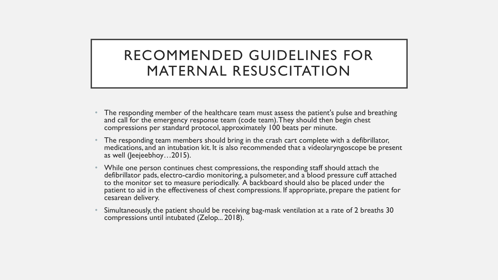## RECOMMENDED GUIDELINES FOR MATERNAL RESUSCITATION

- The responding member of the healthcare team must assess the patient's pulse and breathing and call for the emergency response team (code team). They should then begin chest compressions per standard protocol, approximately 100 beats per minute.
- The responding team members should bring in the crash cart complete with a defibrillator, medications, and an intubation kit. It is also recommended that a videolaryngoscope be present as well (Jeejeebhoy…2015).
- While one person continues chest compressions, the responding staff should attach the defibrillator pads, electro-cardio monitoring, a pulsometer, and a blood pressure cuff attached to the monitor set to measure periodically. A backboard should also be placed under the patient to aid in the effectiveness of chest compressions. If appropriate, prepare the patient for cesarean delivery.
- Simultaneously, the patient should be receiving bag-mask ventilation at a rate of 2 breaths 30 compressions until intubated (Zelop... 2018).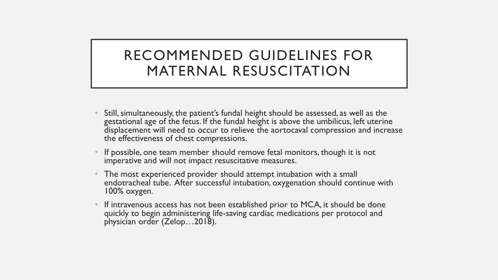## RECOMMENDED GUIDELINES FOR MATERNAL RESUSCITATION

- Still, simultaneously, the patient's fundal height should be assessed, as well as the gestational age of the fetus. If the fundal height is above the umbilicus, left uterine displacement will need to occur to relieve the aortocaval compression and increase the effectiveness of chest compressions.
- If possible, one team member should remove fetal monitors, though it is not imperative and will not impact resuscitative measures.
- The most experienced provider should attempt intubation with a small endotracheal tube. After successful intubation, oxygenation should continue with 100% oxygen.
- If intravenous access has not been established prior to MCA, it should be done quickly to begin administering life-saving cardiac medications per protocol and physician order (Zelop…2018).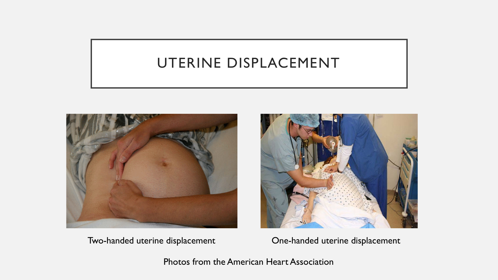## UTERINE DISPLACEMENT





Two-handed uterine displacement One-handed uterine displacement

Photos from the American Heart Association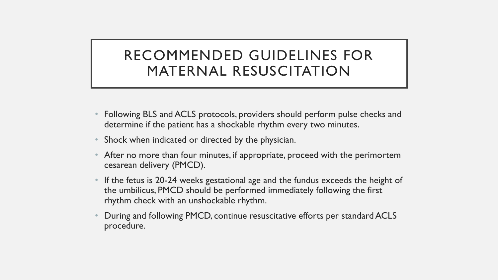## RECOMMENDED GUIDELINES FOR MATERNAL RESUSCITATION

- Following BLS and ACLS protocols, providers should perform pulse checks and determine if the patient has a shockable rhythm every two minutes.
- Shock when indicated or directed by the physician.
- After no more than four minutes, if appropriate, proceed with the perimortem cesarean delivery (PMCD).
- If the fetus is 20-24 weeks gestational age and the fundus exceeds the height of the umbilicus, PMCD should be performed immediately following the first rhythm check with an unshockable rhythm.
- During and following PMCD, continue resuscitative efforts per standard ACLS procedure.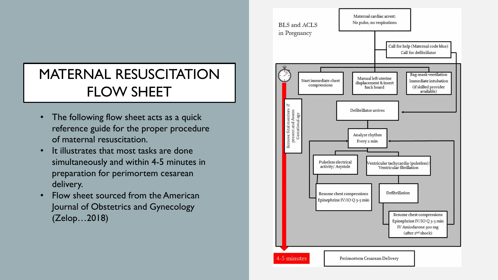## MATERNAL RESUSCITATION FLOW SHEET

- The following flow sheet acts as a quick reference guide for the proper procedure of maternal resuscitation.
- It illustrates that most tasks are done simultaneously and within 4-5 minutes in preparation for perimortem cesarean delivery.
- Flow sheet sourced from the American Journal of Obstetrics and Gynecology (Zelop…2018)

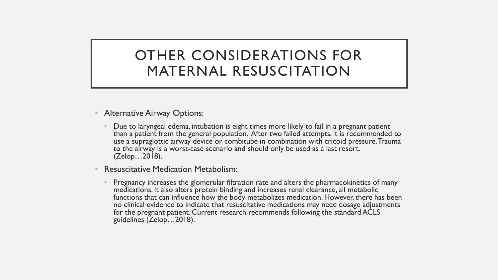## OTHER CONSIDERATIONS FOR MATERNAL RESUSCITATION

- Alternative Airway Options:
	- Due to laryngeal edema, intubation is eight times more likely to fail in a pregnant patient than a patient from the general population. After two failed attempts, it is recommended to use a supraglottic airway device or combitube in combination with cricoid pressure. Trauma to the airway is a worst-case scenario and should only be used as a last resort. (Zelop…2018).
- Resuscitative Medication Metabolism:
	- Pregnancy increases the glomerular filtration rate and alters the pharmacokinetics of many medications. It also alters protein binding and increases renal clearance, all metabolic functions that can influence how the body metabolizes medication. However, there has been no clinical evidence to indicate that resuscitative medications may need dosage adjustments for the pregnant patient. Current research recommends following the standard ACLS guidelines (Zelop…2018).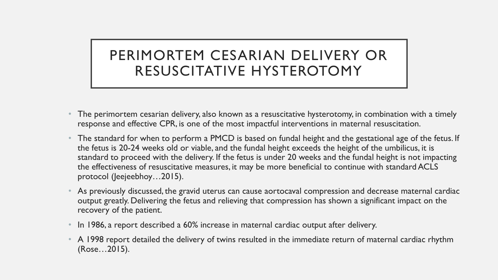## PERIMORTEM CESARIAN DELIVERY OR RESUSCITATIVE HYSTEROTOMY

- The perimortem cesarian delivery, also known as a resuscitative hysterotomy, in combination with a timely response and effective CPR, is one of the most impactful interventions in maternal resuscitation.
- The standard for when to perform a PMCD is based on fundal height and the gestational age of the fetus. If the fetus is 20-24 weeks old or viable, and the fundal height exceeds the height of the umbilicus, it is standard to proceed with the delivery. If the fetus is under 20 weeks and the fundal height is not impacting the effectiveness of resuscitative measures, it may be more beneficial to continue with standard ACLS protocol (Jeejeebhoy…2015).
- As previously discussed, the gravid uterus can cause aortocaval compression and decrease maternal cardiac output greatly. Delivering the fetus and relieving that compression has shown a significant impact on the recovery of the patient.
- In 1986, a report described a 60% increase in maternal cardiac output after delivery.
- A 1998 report detailed the delivery of twins resulted in the immediate return of maternal cardiac rhythm (Rose…2015).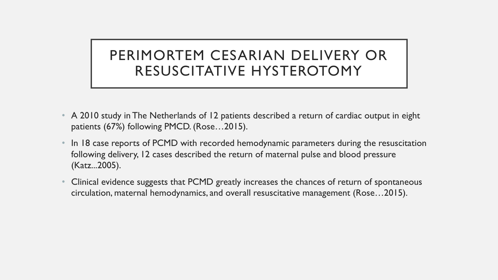## PERIMORTEM CESARIAN DELIVERY OR RESUSCITATIVE HYSTEROTOMY

- A 2010 study in The Netherlands of 12 patients described a return of cardiac output in eight patients (67%) following PMCD. (Rose…2015).
- In 18 case reports of PCMD with recorded hemodynamic parameters during the resuscitation following delivery, 12 cases described the return of maternal pulse and blood pressure (Katz...2005).
- Clinical evidence suggests that PCMD greatly increases the chances of return of spontaneous circulation, maternal hemodynamics, and overall resuscitative management (Rose…2015).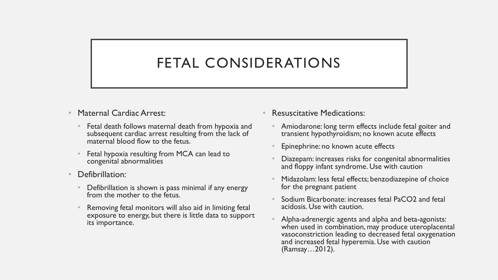## FETAL CONSIDERATIONS

- Maternal Cardiac Arrest:
	- Fetal death follows maternal death from hypoxia and subsequent cardiac arrest resulting from the lack of maternal blood flow to the fetus.
	- Fetal hypoxia resulting from MCA can lead to congenital abnormalities
- Defibrillation:
	- Defibrillation is shown is pass minimal if any energy from the mother to the fetus.
	- Removing fetal monitors will also aid in limiting fetal exposure to energy, but there is little data to support its importance.
- Resuscitative Medications:
	- Amiodarone: long term effects include fetal goiter and transient hypothyroidism; no known acute effects
	- Epinephrine: no known acute effects
	- Diazepam: increases risks for congenital abnormalities and floppy infant syndrome. Use with caution
	- Midazolam: less fetal effects; benzodiazepine of choice for the pregnant patient
	- Sodium Bicarbonate: increases fetal PaCO2 and fetal acidosis. Use with caution.
	- Alpha-adrenergic agents and alpha and beta-agonists: when used in combination, may produce uteroplacental vasoconstriction leading to decreased fetal oxygenation and increased fetal hyperemia. Use with caution (Ramsay…2012).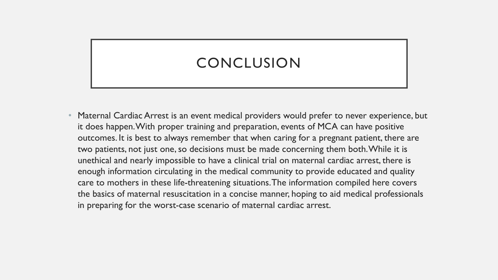## **CONCLUSION**

• Maternal Cardiac Arrest is an event medical providers would prefer to never experience, but it does happen. With proper training and preparation, events of MCA can have positive outcomes. It is best to always remember that when caring for a pregnant patient, there are two patients, not just one, so decisions must be made concerning them both. While it is unethical and nearly impossible to have a clinical trial on maternal cardiac arrest, there is enough information circulating in the medical community to provide educated and quality care to mothers in these life-threatening situations. The information compiled here covers the basics of maternal resuscitation in a concise manner, hoping to aid medical professionals in preparing for the worst-case scenario of maternal cardiac arrest.